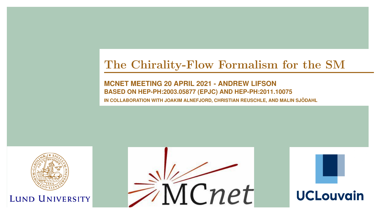## The Chirality-Flow Formalism for the SM

**MCNET MEETING 20 APRIL 2021 - ANDREW LIFSON BASED ON [HEP-PH:2003.05877 \(E](HTTPS://ARXIV.ORG/PDF/2003.05877.PDF)[PJC\) AN](HTTPS://EPJC.EPJ.ORG/ARTICLES/EPJC/ABS/2020/11/10052_2020_ARTICLE_8260/10052_2020_ARTICLE_8260.HTML)D H[EP-PH:2011.10075](HTTPS://ARXIV.ORG/PDF/2011.10075.PDF) IN COLLABORATION WITH JOAKIM ALNEFJORD, CHRISTIAN REUSCHLE, AND MALIN SJODAHL ¨**

<span id="page-0-0"></span>

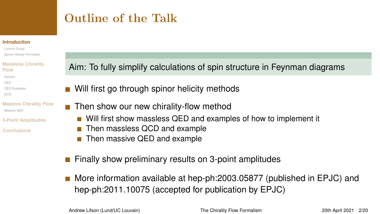# <span id="page-1-0"></span>Outline of the Talk

#### **[Introduction](#page-1-0)**

[Lorentz Group](#page-2-0) [Spinor-Helicity Formalism](#page-3-0)

#### **[Massless Chirality](#page-5-0) Flow**

- [Spinors](#page-7-0) [QED](#page-8-0)
- [QED Examples](#page-10-0)
- [QCD](#page-14-0)

#### **[Massive Chirality Flow](#page-16-0)** Massive OED

- **[3-Point Amplitudes](#page-20-0)**
- **[Conclusions](#page-23-0)**

Aim: To fully simplify calculations of spin structure in Feynman diagrams

- Will first go through spinor helicity methods
- $\blacksquare$  Then show our new chirality-flow method
	- Will first show massless QED and examples of how to implement it
	- Then massless QCD and example
	- Then massive QED and example  $\mathbf{r}$
- Finally show preliminary results on 3-point amplitudes
- More information available at [hep-ph:2003.05877 \(published in EPJC\)](https://arxiv.org/pdf/2003.05877.pdf) and [hep-ph:2011.10075](https://arxiv.org/pdf/2011.10075.pdf) (accepted for publication by EPJC)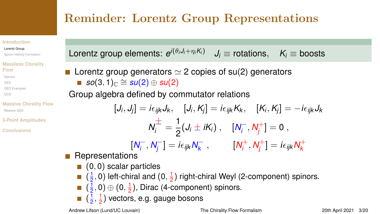# <span id="page-2-0"></span>Reminder: Lorentz Group Representations

#### **[Introduction](#page-1-0)**

#### [Lorentz Group](#page-2-0)

[Spinor-Helicity Formalism](#page-3-0)

#### **[Massless Chirality](#page-5-0) Flow**

[Spinors](#page-7-0) [QED](#page-8-0) [QED Examples](#page-10-0)

[QCD](#page-14-0)

#### **[Massive Chirality Flow](#page-16-0)** Massive OED

**[3-Point Amplitudes](#page-20-0)**

**[Conclusions](#page-23-0)**

Lorentz group generators  $\simeq$  2 copies of su(2) generators  $\textit{so}(3,1)_{\mathbb{C}} \cong \textit{su}(2) \oplus \textit{su}(2)$ 

Group algebra defined by commutator relations

 $[J_i,J_j]=i\epsilon_{ijk}J_k, \quad [J_i,K_j]=i\epsilon_{ijk}K_k, \quad [K_i,K_j]=-i\epsilon_{ijk}J_k$  $N_i^{\pm} = \frac{1}{2}$  $\frac{1}{2}(J_i \pm iK_i)$ ,  $[N_i^-]$  $I_i^-, N_j^+$  $j^+]=0\;,$  $N_i^-$ *<i>i*<sup>−</sup>, **N**<sub>*j*</sub><sup>−</sup>  $j^{-}$ ] = *i* $\epsilon_{ijk}$   $N_{k}^{-}$  $\frac{1}{k}$ ,  $\left[N_i^+\right]$ *i* , *N* +  $j^{+}$ ] =  $i\epsilon_{ijk}N^{+}_k$ *k*

 $J_i \equiv$  rotations,  $K_i \equiv$  boosts

- **Representations** 
	- $(0, 0)$  scalar particles
	- $(\frac{1}{2}, 0)$  left-chiral and  $(0, \frac{1}{2})$  right-chiral Weyl (2-component) spinors.
	- $(\frac{1}{2},0) \oplus (0,\frac{1}{2})$ , Dirac (4-component) spinors.
	- $(\frac{1}{2},\frac{1}{2})$  vectors, e.g. gauge bosons

Lorentz group elements: *e i*(θ*<sup>i</sup> Ji*+η*iK<sup>i</sup>* )

Andrew Lifson (Lund/UC Louvain) [The Chirality Flow Formalism](#page-0-0) 20th April 2021 3/20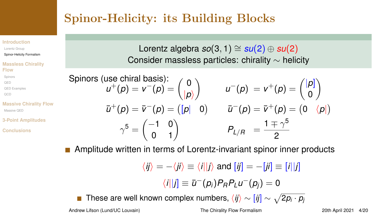# <span id="page-3-0"></span>Spinor-Helicity: its Building Blocks

## Lorentz algebra  $so(3, 1) \cong su(2) \oplus su(2)$ Consider massless particles: chirality ∼ helicity

Spinors (use chiral basis):

\n
$$
u^{+}(p) = v^{-}(p) = \begin{pmatrix} 0 \\ |p\rangle \end{pmatrix} \qquad u^{-}(p) = v^{+}(p) = \begin{pmatrix} |p| \\ 0 \end{pmatrix}
$$
\n
$$
\bar{u}^{+}(p) = \bar{v}^{-}(p) = \begin{pmatrix} |p| & 0 \end{pmatrix} \qquad \bar{u}^{-}(p) = \bar{v}^{+}(p) = \begin{pmatrix} |p| \\ 0 \end{pmatrix}
$$
\n
$$
\gamma^{5} = \begin{pmatrix} -1 & 0 \\ 0 & 1 \end{pmatrix} \qquad P_{L/R} = \frac{1 \mp \gamma^{5}}{2}
$$

Amplitude written in terms of Lorentz-invariant spinor inner products

$$
\langle ij \rangle = -\langle ji \rangle \equiv \langle i | j \rangle \text{ and } [ij] = -[ji] \equiv [i | j]
$$

$$
\langle i||j] \equiv \bar{u}^-(p_i) P_R P_L u^-(p_j) = 0
$$

These are well known complex numbers,  $\langle ij \rangle \sim [ij] \sim \sqrt{2 p_i \cdot p_j}$ 

#### **[Introduction](#page-1-0)**

[Lorentz Group](#page-2-0) [Spinor-Helicity Formalism](#page-3-0)

#### **[Massless Chirality](#page-5-0) Flow**

[Spinors](#page-7-0) [QED](#page-8-0)

[QED Examples](#page-10-0)

[QCD](#page-14-0)

#### **[Massive Chirality Flow](#page-16-0)** [Massive QED](#page-16-0)

**[3-Point Amplitudes](#page-20-0)**

**[Conclusions](#page-23-0)**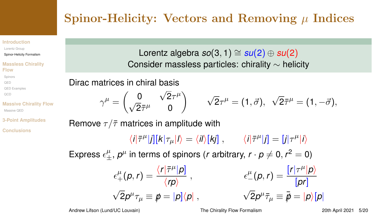# Spinor-Helicity: Vectors and Removing  $\mu$  Indices

#### **[Introduction](#page-1-0)**

[Lorentz Group](#page-2-0) [Spinor-Helicity Formalism](#page-3-0)

#### **[Massless Chirality](#page-5-0) Flow**

[Spinors](#page-7-0)

[QED](#page-8-0)

[QED Examples](#page-10-0)

[QCD](#page-14-0)

**[Massive Chirality Flow](#page-16-0)** Massive OED

**[3-Point Amplitudes](#page-20-0)**

**[Conclusions](#page-23-0)**

Lorentz algebra  $so(3, 1) \cong su(2) \oplus su(2)$ Consider massless particles: chirality ∼ helicity

Dirac matrices in chiral basis

$$
\gamma^\mu = \begin{pmatrix} 0 & \sqrt{2}\tau^\mu \\ \sqrt{2}\bar\tau^\mu & 0 \end{pmatrix} \qquad \sqrt{2}\tau^\mu = (1, \vec\sigma), \;\; \sqrt{2}\bar\tau^\mu = (1, -\vec\sigma),
$$

Remove  $\tau/\bar{\tau}$  matrices in amplitude with

 $\langle i|\bar{\tau}^{\mu}|j][k|\tau_{\mu}|l\rangle = \langle i|j[k] \rangle$ ,  $\langle i|\bar{\tau}^{\mu}|j] = [j|\tau^{\mu}|i\rangle$ 

Express  $\epsilon_{\pm}^{\mu}$ ,  $p^{\mu}$  in terms of spinors (*r* arbitrary,  $r \cdot p \neq 0, r^2 = 0$ )

$$
\epsilon^{\mu}_{+}(p,r) = \frac{\langle r|\bar{\tau}^{\mu}|p]}{\langle rp \rangle} , \qquad \epsilon^{\mu}_{-}(p,r) = \frac{[r|\tau^{\mu}|p\rangle}{[pr]} \\ \sqrt{2}p^{\mu}\tau_{\mu} \equiv \rlap{/}{p} = |p]\langle p| \ , \qquad \qquad \sqrt{2}p^{\mu}\bar{\tau}_{\mu} \equiv \rlap{/}{\bar{p}} = |p\rangle[p|
$$

Andrew Lifson (Lund/UC Louvain) [The Chirality Flow Formalism](#page-0-0) 20th April 2021 5/20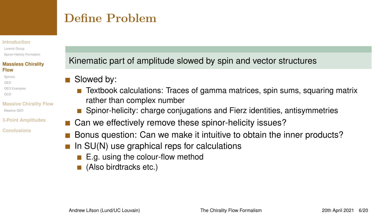## <span id="page-5-0"></span>Define Problem

#### **[Introduction](#page-1-0)**

[Lorentz Group](#page-2-0) [Spinor-Helicity Formalism](#page-3-0)

#### **[Massless Chirality](#page-5-0) Flow**

- [Spinors](#page-7-0)
- [QED](#page-8-0)
- [QED Examples](#page-10-0)
- [QCD](#page-14-0)
- **[Massive Chirality Flow](#page-16-0)** Massive OED
- **[3-Point Amplitudes](#page-20-0)**
- **[Conclusions](#page-23-0)**

## Kinematic part of amplitude slowed by spin and vector structures

- Slowed by:  $\mathcal{L}_{\mathcal{A}}$ 
	- m. Textbook calculations: Traces of gamma matrices, spin sums, squaring matrix rather than complex number
	- Spinor-helicity: charge conjugations and Fierz identities, antisymmetries
- Can we effectively remove these spinor-helicity issues?
- Bonus question: Can we make it intuitive to obtain the inner products?
- In SU(N) use graphical reps for calculations
	- E.g. using the colour-flow method
	- (Also birdtracks etc.)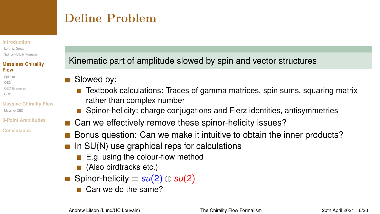## Define Problem

#### **[Introduction](#page-1-0)**

[Lorentz Group](#page-2-0) [Spinor-Helicity Formalism](#page-3-0)

#### **[Massless Chirality](#page-5-0) Flow**

- [Spinors](#page-7-0)
- [QED](#page-8-0)
- [QED Examples](#page-10-0)
- [QCD](#page-14-0)
- **[Massive Chirality Flow](#page-16-0)** Massive OED
- **[3-Point Amplitudes](#page-20-0)**
- **[Conclusions](#page-23-0)**

Kinematic part of amplitude slowed by spin and vector structures

- Slowed by:  $\mathcal{L}_{\mathcal{A}}$ 
	- **T** Textbook calculations: Traces of gamma matrices, spin sums, squaring matrix rather than complex number
	- Spinor-helicity: charge conjugations and Fierz identities, antisymmetries
- Can we effectively remove these spinor-helicity issues?
- Bonus question: Can we make it intuitive to obtain the inner products?
- In SU(N) use graphical reps for calculations
	- E.g. using the colour-flow method
	- (Also birdtracks etc.)
- Spinor-helicity ≡ *su*(2) ⊕ *su*(2)
	- Can we do the same?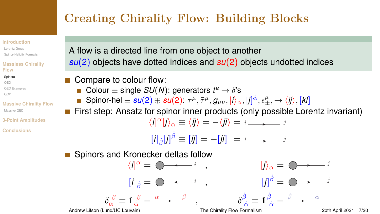# <span id="page-7-0"></span>Creating Chirality Flow: Building Blocks

#### **[Introduction](#page-1-0)**

[Lorentz Group](#page-2-0) [Spinor-Helicity Formalism](#page-3-0)

#### **[Massless Chirality](#page-5-0) Flow**

#### **[Spinors](#page-7-0)**

[QED](#page-8-0) [QED Examples](#page-10-0) [QCD](#page-14-0)

#### **[Massive Chirality Flow](#page-16-0)** [Massive QED](#page-16-0)

**[3-Point Amplitudes](#page-20-0)**

**[Conclusions](#page-23-0)**

A flow is a directed line from one object to another *su*(2) objects have dotted indices and *su*(2) objects undotted indices

- Compare to colour flow:
	- Colour  $\equiv$  single *SU*(*N*): generators  $t^a \rightarrow \delta$ 's
	- $\mathsf{Spinor\text{-}hel} \equiv \mathsf{su}(2) \oplus \mathsf{su}(2) \colon \tau^\mu, \bar\tau^\mu, g_{\mu\nu}, |i\rangle_\alpha, |j|^\dot\alpha, \epsilon_\pm^\mu, \to \langle i j \rangle, [kl]$

First step: Ansatz for spinor inner products (only possible Lorentz invariant)  $\langle i |^{\alpha} | j \rangle_{\alpha} \equiv \langle i j \rangle = -\langle j i \rangle = i \longrightarrow j$  $[i|_{\hat{\beta}}|j]^{\hat{\beta}} \equiv [ij] = -[ji] = i \dots \dots \dots j$ 

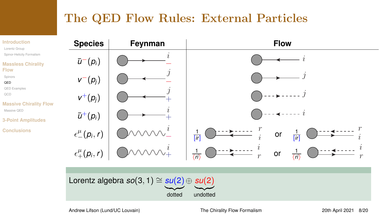## <span id="page-8-0"></span>The QED Flow Rules: External Particles



Andrew Lifson (Lund/UC Louvain) [The Chirality Flow Formalism](#page-0-0) 20th April 2021 8/20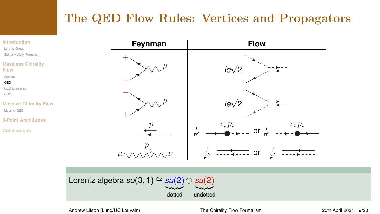## The QED Flow Rules: Vertices and Propagators

#### **[Introduction](#page-1-0)**

[Lorentz Group](#page-2-0)

[Spinor-Helicity Formalism](#page-3-0)

#### **[Massless Chirality](#page-5-0) Flow**

[Spinors](#page-7-0)

#### [QED](#page-8-0)

[QED Examples](#page-10-0)

[QCD](#page-14-0)

#### **[Massive Chirality Flow](#page-16-0)** [Massive QED](#page-16-0)

**[3-Point Amplitudes](#page-20-0)**

**[Conclusions](#page-23-0)**





Andrew Lifson (Lund/UC Louvain) [The Chirality Flow Formalism](#page-0-0) 20th April 2021 9/20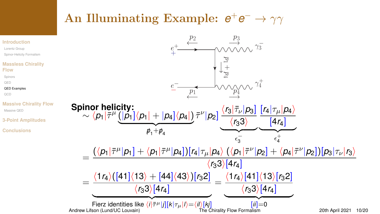# <span id="page-10-0"></span> $\bf{An\; Illuminating\; Example:}\ \ e^+e^-\rightarrow \gamma\gamma$

#### **[Introduction](#page-1-0)** [Lorentz Group](#page-2-0) [Spinor-Helicity Formalism](#page-3-0) **[Massless Chirality](#page-5-0) Flow** [Spinors](#page-7-0) [QED](#page-8-0) [QED Examples](#page-10-0) [QCD](#page-14-0) **[Massive Chirality Flow](#page-16-0)** [Massive QED](#page-16-0) **[3-Point Amplitudes](#page-20-0) [Conclusions](#page-23-0)** ←−  $p_2$  $p_1$ <sup>-</sup> ←− −→  $e^+$  $+$  $\frac{e^{-}}{e^{-}}$  $\overrightarrow{\vee\vee\vee}$   $\gamma_3^ \gamma_4^+$ 4  $p_3$  $p_4^{\vee}$  $+\frac{1}{2}$  $p_1$  $+\qquad$  $\rho$  $\rightarrow$ **Spinor helicity:**  $\sim \langle p_1 | \bar{\tau}^{\mu} (|p_1] \langle p_1 | + |p_4] \langle p_4 | \rangle$  ${\bf p}$  +  ${\bf p}$  $p_1+p_4$  $\bar{\tau}^{\nu} |p_2] \, \frac{\langle r_3 |\bar{\tau}_{\nu}| p_3]}{\langle r_2 3 \rangle}$  $\frac{\langle r_33 \rangle}{\langle r_3 \rangle}$  $\longrightarrow$  $\epsilon_3^ \sqrt{r_4|r_\mu|p_4}$  $[4r_4]$  $\overbrace{\hspace{2.5cm}}^{+}$  $\epsilon$ + 4 =  $\frac{(\langle \rho_1|\bar\tau^\mu|\rho_1] + \langle \rho_1|\bar\tau^\mu|\rho_4] )[\mathsf{r}_4|\tau_\mu|\rho_4 \rangle \ (\langle \rho_1|\bar\tau^\nu|\rho_2] + \langle \rho_4|\bar\tau^\nu|\rho_2] )[\rho_3|\tau_\nu|\mathsf{r}_3 \rangle}{}$  $\langle r_3 3 \rangle$ [4 $r_4$ ] =  $\langle 1r_4\rangle$ ([41] $\langle 13\rangle +$  [44] $\langle 43\rangle$ )[ $r_3$ 2]  $(r_33)[4r_4]$ **Fierz identities like**  $\langle i | \bar{\tau}^{\mu} | j ] [k | \tau_{\mu} | l \rangle = \langle i l \rangle [k j]$ =  $\langle 1r_4\rangle$ [41] $\langle 13\rangle$ [*r*<sub>3</sub>2]  $\frac{r_33}{4r_4}$  $|ii|=0$ Andrew Lifson (Lund/UC Louvain) [The Chirality Flow Formalism](#page-0-0) 20th April 2021 10/20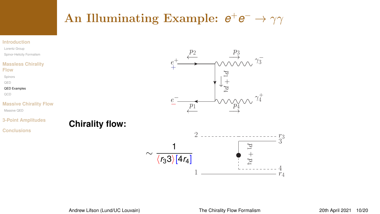# $\bf{An\; Illuminating\; Example:}\ \ e^+e^-\rightarrow \gamma\gamma$

#### **[Introduction](#page-1-0)**

[Lorentz Group](#page-2-0) [Spinor-Helicity Formalism](#page-3-0)

#### **[Massless Chirality](#page-5-0) Flow**

[Spinors](#page-7-0)

[QED](#page-8-0)

[QED Examples](#page-10-0)

[QCD](#page-14-0)

#### **[Massive Chirality Flow](#page-16-0)**

[Massive QED](#page-16-0)

#### **[3-Point Amplitudes](#page-20-0)**

**[Conclusions](#page-23-0)**





**Chirality flow:**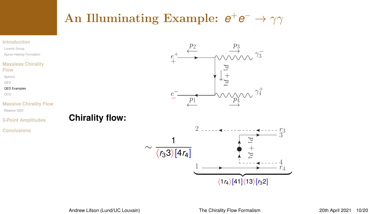# $\bf{An\; Illuminating\; Example:}\ \ e^+e^-\rightarrow \gamma\gamma$

#### **[Introduction](#page-1-0)**

[Lorentz Group](#page-2-0) [Spinor-Helicity Formalism](#page-3-0)

#### **[Massless Chirality](#page-5-0) Flow**

[Spinors](#page-7-0)

[QED](#page-8-0)

[QED Examples](#page-10-0)

[QCD](#page-14-0)

#### **[Massive Chirality Flow](#page-16-0)**

**[3-Point Amplitudes](#page-20-0)**

[Massive QED](#page-16-0)

### **Chirality flow:**

**[Conclusions](#page-23-0)**



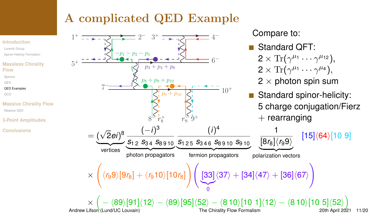## A complicated QED Example

**Flow**

[QED](#page-8-0)

[QCD](#page-14-0)

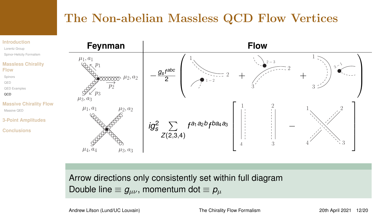## <span id="page-14-0"></span>The Non-abelian Massless QCD Flow Vertices



Arrow directions only consistently set within full diagram Double line  $\equiv g_{\mu\nu}$ , momentum dot  $\equiv \rho_\mu$ 

Andrew Lifson (Lund/UC Louvain) [The Chirality Flow Formalism](#page-0-0) 20th April 2021 12/20

3<sup>−</sup> <sup>1</sup>

 $1, 2, 2$ 

41 \ \ \ \ 3

 $\setminus$ 

 $\Big\}$ 

T  $\perp$  $\perp$  $\mathbf{I}$  $\overline{1}$ 

 $1\lesssim$ 

 $3\geq$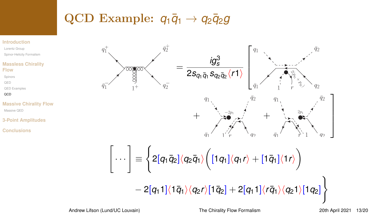# QCD Example:  $q_1\bar{q}_1 \rightarrow q_2\bar{q}_2g$

#### **[Introduction](#page-1-0)**

[Lorentz Group](#page-2-0) [Spinor-Helicity Formalism](#page-3-0)

#### **[Massless Chirality](#page-5-0) Flow**

[Spinors](#page-7-0)

[QED](#page-8-0)

[QED Examples](#page-10-0)

**OCD** 

#### **[Massive Chirality Flow](#page-16-0)** [Massive QED](#page-16-0)

**[3-Point Amplitudes](#page-20-0)**

**[Conclusions](#page-23-0)**

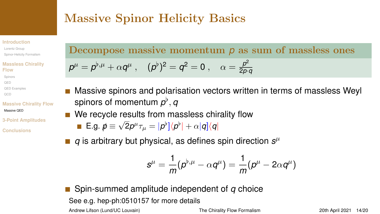## <span id="page-16-0"></span>Massive Spinor Helicity Basics

#### **[Introduction](#page-1-0)**

[Lorentz Group](#page-2-0) [Spinor-Helicity Formalism](#page-3-0)

#### **[Massless Chirality](#page-5-0) Flow**

- [Spinors](#page-7-0) [QED](#page-8-0)
- [QED Examples](#page-10-0)
- [QCD](#page-14-0)

#### **[Massive Chirality Flow](#page-16-0)** [Massive QED](#page-16-0)

**[3-Point Amplitudes](#page-20-0)**

**[Conclusions](#page-23-0)**

Decompose massive momentum *p* as sum of massless ones

$$
\rho^{\mu}=\rho^{\flat,\mu}+\alpha q^{\mu}~,~~(\rho^{\flat})^2=q^2=0~,~~\alpha=\tfrac{p^2}{2p\cdot q}
$$

- Massive spinors and polarisation vectors written in terms of massless Weyl spinors of momentum  $\rho^\flat, q$
- We recycle results from massless chirality flow

**E.g.** 
$$
\vec{p} \equiv \sqrt{2}p^{\mu}\tau_{\mu} = |p^{\flat}]\langle p^{\flat}| + \alpha|q]\langle q|
$$

 $q$  is arbitrary but physical, as defines spin direction  $s^{\mu}$ 

$$
s^\mu=\frac{1}{m}(\rho^{\flat,\mu}-\alpha q^\mu)=\frac{1}{m}(\rho^\mu-2\alpha q^\mu)
$$

Spin-summed amplitude independent of *q* choice See e.g. [hep-ph:0510157](https://arxiv.org/pdf/hep-ph/0510157.pdf) for more details Andrew Lifson (Lund/UC Louvain) [The Chirality Flow Formalism](#page-0-0) 20th April 2021 14/20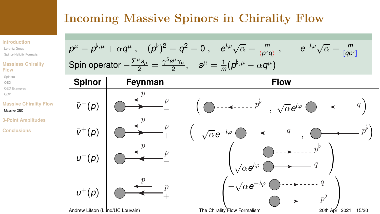## Incoming Massive Spinors in Chirality Flow

#### **[Introduction](#page-1-0)**

- [Lorentz Group](#page-2-0)
- [Spinor-Helicity Formalism](#page-3-0)

#### **[Massless Chirality](#page-5-0) Flow**

- [Spinors](#page-7-0) [QED](#page-8-0)
- [QED Examples](#page-10-0)
- [QCD](#page-14-0)

#### **[Massive Chirality Flow](#page-16-0)** [Massive QED](#page-16-0)

 $\bar{v}^+(p)$ 

*u*<sup>−</sup>(*p*)

 $u^+(p)$ 

 $\eta$ 

**[3-Point Amplitudes](#page-20-0)**

**[Conclusions](#page-23-0)**

$$
p^{\mu} = p^{\flat,\mu} + \alpha q^{\mu}, \quad (p^{\flat})^2 = q^2 = 0, \quad e^{i\varphi}\sqrt{\alpha} = \frac{m}{\langle p^{\flat}q \rangle}, \qquad e^{-i\varphi}\sqrt{\alpha} = \frac{m}{[qp^{\flat}]}
$$
  
Spin operator  $-\frac{\Sigma^{\mu}s_{\mu}}{2} = \frac{\gamma^5s^{\mu}\gamma_{\mu}}{2}, \quad s^{\mu} = \frac{1}{m}(p^{\flat,\mu} - \alpha q^{\mu})$   
Spinor Feynman\n  
Flow\n  
 $\overline{v}^-(p)$ \n  
Equation 1.

$$
\overline{v}^{+}(p) \quad \overline{v}^{+}(p) \quad \overline{v}^{+} \quad \overline{p} \quad \overline{v}^{+} \quad \overline{p} \quad \overline{v}^{+}(p) \quad \overline{v}^{+}(p) \quad \overline{v}^{+}(p) \quad \overline{v}^{+}(p) \quad \overline{v}^{+}(p) \quad \overline{v}^{+}(p) \quad \overline{v}^{+}(p) \quad \overline{v}^{+}(p) \quad \overline{v}^{+}(p) \quad \overline{v}^{+}(p) \quad \overline{v}^{+}(p) \quad \overline{v}^{+}(p) \quad \overline{v}^{+}(p) \quad \overline{v}^{+}(p) \quad \overline{v}^{+}(p) \quad \overline{v}^{+}(p) \quad \overline{v}^{+}(p) \quad \overline{v}^{+}(p) \quad \overline{v}^{+}(p) \quad \overline{v}^{+}(p) \quad \overline{v}^{+}(p) \quad \overline{v}^{+}(p) \quad \overline{v}^{+}(p) \quad \overline{v}^{+}(p) \quad \overline{v}^{+}(p) \quad \overline{v}^{+}(p) \quad \overline{v}^{+}(p) \quad \overline{v}^{+}(p) \quad \overline{v}^{+}(p) \quad \overline{v}^{+}(p) \quad \overline{v}^{+}(p) \quad \overline{v}^{+}(p) \quad \overline{v}^{+}(p) \quad \overline{v}^{+}(p) \quad \overline{v}^{+}(p) \quad \overline{v}^{+}(p) \quad \overline{v}^{+}(p) \quad \overline{v}^{+}(p) \quad \overline{v}^{+}(p) \quad \overline{v}^{+}(p) \quad \overline{v}^{+}(p) \quad \overline{v}^{+}(p) \quad \overline{v}^{+}(p) \quad \overline{v}^{+}(p) \quad \overline{v}^{+}(p) \quad \overline{v}^{+}(p) \quad \overline{v}^{+}(p) \quad \overline{v}^{+}(p) \quad \overline{v}^{+}(p) \quad \overline{v}^{+}(p) \quad \overline{v}^{+}(p) \quad \overline{v}^{+}(p) \quad \overline{v}^{+}(p) \quad \overline{v}^{
$$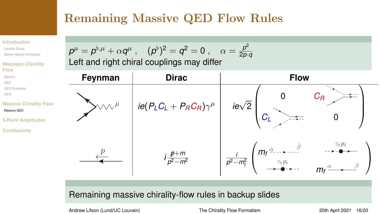# Remaining Massive QED Flow Rules

#### **[Introduction](#page-1-0)**

[Lorentz Group](#page-2-0) [Spinor-Helicity Formalism](#page-3-0)

#### **[Massless Chirality](#page-5-0) Flow**

- [Spinors](#page-7-0)
- [QED](#page-8-0)
- [QED Examples](#page-10-0)
- [QCD](#page-14-0)

#### **[Massive Chirality Flow](#page-16-0)** [Massive QED](#page-16-0)

- **[3-Point Amplitudes](#page-20-0)**
- **[Conclusions](#page-23-0)**





### Remaining massive chirality-flow rules in backup slides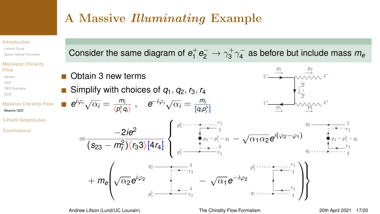## A Massive Illuminating Example

#### **[Introduction](#page-1-0)**

[Lorentz Group](#page-2-0) [Spinor-Helicity Formalism](#page-3-0)

#### **[Massless Chirality](#page-5-0) Flow**

- [Spinors](#page-7-0)
- **OED**
- 
- [QED Examples](#page-10-0)
- [QCD](#page-14-0)

#### **[Massive Chirality Flow](#page-16-0)** [Massive QED](#page-16-0)

- **[3-Point Amplitudes](#page-20-0)**
- **[Conclusions](#page-23-0)**

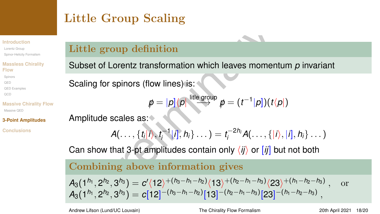# <span id="page-20-0"></span>Little Group Scaling

#### **[Introduction](#page-1-0)**

[Lorentz Group](#page-2-0) [Spinor-Helicity Formalism](#page-3-0)

#### **[Massless Chirality](#page-5-0) Flow**

[Spinors](#page-7-0) [QED](#page-8-0) [QED Examples](#page-10-0) [QCD](#page-14-0)

#### **[Massive Chirality Flow](#page-16-0)** Massive OED

**[3-Point Amplitudes](#page-20-0)**

**[Conclusions](#page-23-0)**

## Little group definition

Subset of Lorentz transformation which leaves momentum *p* invariant

Scaling for spinors (flow lines) is:

$$
\rlap{\hspace{0.02cm}/}{p} = |p]\langle p| \stackrel{\text{little group}}{\longrightarrow} p = (t^{-1}|p])(t\langle p|)
$$

Amplitude scales as:

$$
A(\ldots,\{t_i|i\rangle,t_i^{-1}|i],h_i\}\ldots)=t_i^{-2h_i}A(\ldots,\{|i\rangle,|i],h_i\}\ldots)
$$

Can show that 3-pt amplitudes contain only  $\langle i j \rangle$  or  $[i j]$  but not both

## Combining above information gives

Little group definition

\nSubset of Lorentz transformation which leaves momentum 
$$
p
$$
 invariant

\nScaling for spinors (flow lines) is:

\n
$$
\begin{aligned}\n&p &= |p| \langle p| \frac{\text{little group}}{\text{group } p} \mid p = (t^{-1} | p|)(t \langle p|)\n\end{aligned}
$$
\nAmplitude scales as:

\n
$$
A(\ldots, \{t_i | i), t_i^{-1} | i], h_i\} \ldots) = t_i^{-2h_i} A(\ldots, \{|i\rangle, |i], h_i\} \ldots)
$$
\nCan show that 3-pt amplitudes contain only  $\langle ij \rangle$  or  $[ij]$  but not both

\nCombining above information gives

\n
$$
A_3(1^{h_1}, 2^{h_2}, 3^{h_3}) = c'(12)^{+(h_3 - h_1 - h_2)}(13)^{+(h_2 - h_1 - h_3)}(23)^{+(h_1 - h_2 - h_3)}, \text{ or}
$$
\n
$$
A_3(1^{h_1}, 2^{h_2}, 3^{h_3}) = c[12]^{-(h_3 - h_1 - h_2)}[13]^{-(h_2 - h_1 - h_3)}[23]^{-(h_1 - h_2 - h_3)},
$$

Andrew Lifson (Lund/UC Louvain) [The Chirality Flow Formalism](#page-0-0) 20th April 2021 18/20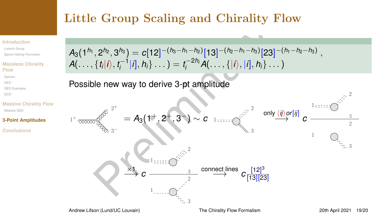# Little Group Scaling and Chirality Flow

#### **[Introduction](#page-1-0)**

[Lorentz Group](#page-2-0) [Spinor-Helicity Formalism](#page-3-0)

#### **[Massless Chirality](#page-5-0) Flow**

- [Spinors](#page-7-0) [QED](#page-8-0) [QED Examples](#page-10-0)
- [QCD](#page-14-0)

#### **[Massive Chirality Flow](#page-16-0)** [Massive QED](#page-16-0)

**[3-Point Amplitudes](#page-20-0)**

**[Conclusions](#page-23-0)**



Possible new way to derive 3-pt amplitude

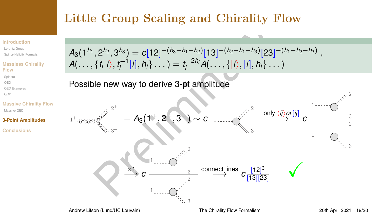# Little Group Scaling and Chirality Flow

#### **[Introduction](#page-1-0)**

[Lorentz Group](#page-2-0) [Spinor-Helicity Formalism](#page-3-0)

#### **[Massless Chirality](#page-5-0) Flow**

- [Spinors](#page-7-0) [QED](#page-8-0) [QED Examples](#page-10-0)
- [QCD](#page-14-0)

#### **[Massive Chirality Flow](#page-16-0)** [Massive QED](#page-16-0)

**[3-Point Amplitudes](#page-20-0)**

**[Conclusions](#page-23-0)**



Possible new way to derive 3-pt amplitude

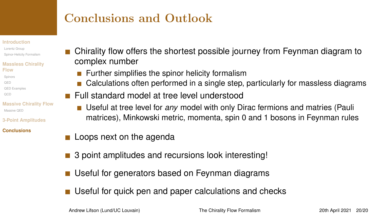# <span id="page-23-0"></span>Conclusions and Outlook

#### **[Introduction](#page-1-0)**

[Lorentz Group](#page-2-0) [Spinor-Helicity Formalism](#page-3-0)

#### **[Massless Chirality](#page-5-0) Flow**

- [Spinors](#page-7-0)
- [QED](#page-8-0)
- [QED Examples](#page-10-0)
- [QCD](#page-14-0)
- **[Massive Chirality Flow](#page-16-0)** Massive OED
- **[3-Point Amplitudes](#page-20-0)**

#### **[Conclusions](#page-23-0)**

- Chirality flow offers the shortest possible journey from Feynman diagram to complex number
	- $\blacksquare$  Further simplifies the spinor helicity formalism
	- **Calculations often performed in a single step, particularly for massless diagrams**
- **Full standard model at tree level understood** 
	- Useful at tree level for *any* model with only Dirac fermions and matries (Pauli matrices), Minkowski metric, momenta, spin 0 and 1 bosons in Feynman rules
- **Loops next on the agenda**
- 3 point amplitudes and recursions look interesting!
- Useful for generators based on Feynman diagrams
- Useful for quick pen and paper calculations and checks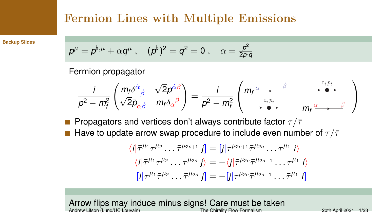## <span id="page-24-0"></span>Fermion Lines with Multiple Emissions

**[Backup Slides](#page-24-0)**

$$
p^{\mu} = p^{\flat,\mu} + \alpha q^{\mu}, \quad (p^{\flat})^2 = q^2 = 0 , \quad \alpha = \frac{p^2}{2p \cdot q}
$$

Fermion propagator

$$
\frac{i}{p^2-m_f^2}\begin{pmatrix}m_f\delta^{\dot{\alpha}}{}_{\dot{\beta}} & \sqrt{2}p^{\dot{\alpha}\beta}\\ \sqrt{2}\bar{p}_{\alpha\dot{\beta}} & m_f\delta_{\alpha}{}^{\beta}\end{pmatrix}=\frac{i}{p^2-m_f^2}\begin{pmatrix}m_f\frac{\dot{\alpha}}{2m_f} & \frac{\dot{\alpha}}{2m_f} & \cdots & \frac{\dot{\alpha}}{2m_f}\\\frac{\dot{\alpha}}{2m_f} & m_f\frac{\dot{\alpha}}{2m_f} & \cdots & \frac{\dot{\beta}}{2m_f}\end{pmatrix}
$$

Propagators and vertices don't always contribute factor  $\tau/\bar{\tau}$ 

Have to update arrow swap procedure to include even number of  $\tau/\bar{\tau}$  $\mathcal{L}_{\mathcal{A}}$ 

$$
\langle i|\bar{\tau}^{\mu_1}\tau^{\mu_2}\dots\bar{\tau}^{\mu_{2n+1}}|j] = [j|\tau^{\mu_{2n+1}}\bar{\tau}^{\mu_{2n}}\dots\tau^{\mu_1}|i\rangle
$$
  
\n
$$
\langle i|\bar{\tau}^{\mu_1}\tau^{\mu_2}\dots\tau^{\mu_{2n}}|j\rangle = -\langle j|\bar{\tau}^{\mu_{2n}}\bar{\tau}^{\mu_{2n-1}}\dots\tau^{\mu_1}|i\rangle
$$
  
\n
$$
[i|\tau^{\mu_1}\bar{\tau}^{\mu_2}\dots\bar{\tau}^{\mu_{2n}}|j] = -[j|\tau^{\mu_{2n}}\bar{\tau}^{\mu_{2n-1}}\dots\bar{\tau}^{\mu_1}|i]
$$

Arrow flips may induce minus signs! Care must be taken<br>Andrew Lifson (Lund/UC Louvain)<br>The Chirality Flow Formalism Andrew Lifson (Lund/UC Louvain) [The Chirality Flow Formalism](#page-0-0) 20th April 2021 1/23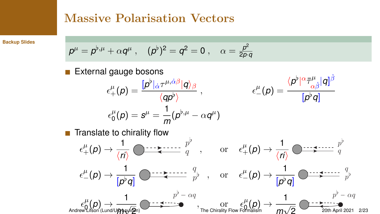## Massive Polarisation Vectors

**[Backup Slides](#page-24-0)**

$$
p^{\mu} = p^{\flat,\mu} + \alpha q^{\mu}, \quad (p^{\flat})^2 = q^2 = 0 , \quad \alpha = \frac{p^2}{2p \cdot q}
$$

External gauge bosons

$$
\epsilon^{\mu}_{+}(p) = \frac{[p^{\flat}]_{\dot{\alpha}}\tau^{\mu,\dot{\alpha}\beta}|q\rangle_{\beta}}{\langle qp^{\flat}\rangle} , \qquad \epsilon^{\mu}_{-}(p) = \frac{\langle p^{\flat} |^{\alpha}\bar{\tau}^{\mu}_{\alpha\dot{\beta}}|q]^{\dot{\beta}}}{[p^{\flat}q]}
$$

$$
\epsilon^{\mu}_{0}(p) = s^{\mu} = \frac{1}{m}(p^{\flat,\mu} - \alpha q^{\mu})
$$

 $\blacksquare$  Translate to chirality flow

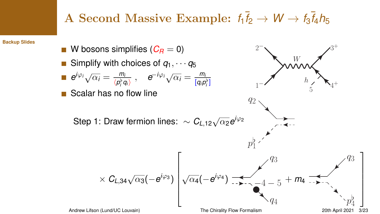# A Second Massive Example:  $f_1 \bar{f}_2 \rightarrow W \rightarrow f_3 \bar{f}_4 h_5$

**[Backup Slides](#page-24-0)**

■ W bosons simplifies 
$$
(C_R = 0)
$$
  
\nI Simplify with choices of  $q_1, \dots, q_5$   
\nI  $e^{i\varphi_1}\sqrt{\alpha_i} = \frac{m_i}{\langle p_i^{\circ}q_i \rangle}$ ,  $e^{-i\varphi_1}\sqrt{\alpha_i} = \frac{m_i}{[q_i p_i^{\circ}]}$   
\nI  $\rightarrow$   
\nScalar has no flow line  
\nStep 1: Draw fermion lines: ~  $C_{L,12}\sqrt{\alpha_2}e^{i\varphi_2}$   
\n $p_1^{\circ}$   
\n $\times C_{L,34}\sqrt{\alpha_3}(-e^{i\varphi_3})\n\begin{bmatrix}\nq_2 \\
\sqrt{\alpha_4}(-e^{i\varphi_4})\n\end{bmatrix}$   
\nAardrew Lifson (Lund/UC Louvain)  
\nThe Chirality Flow Formalism  
\n20th April 2021 3/23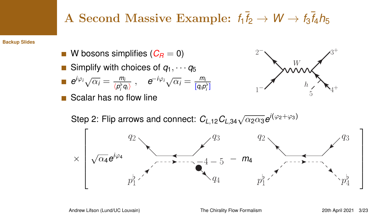# A Second Massive Example:  $f_1 \bar{f}_2 \rightarrow W \rightarrow f_3 \bar{f}_4 h_5$

**[Backup Slides](#page-24-0)**

- W bosons simplifies  $(C_R = 0)$
- Simplify with choices of  $q_1, \cdots, q_5$

$$
\blacksquare \hspace{0.2cm} e^{i\varphi_i}\sqrt{\alpha_i} = \frac{m_i}{\langle p_i^{\flat}q_i \rangle} \hspace{0.2cm}, \hspace{0.2cm} e^{-i\varphi_i}\sqrt{\alpha_i} = \frac{m_i}{[q_i p_i^{\flat}]}
$$

Scalar has no flow line



Step 2: Flip arrows and connect:  $C_{L,12}C_{L,34}\sqrt{\alpha_{2}\alpha_{3}}e^{i(\varphi_{2}+\varphi_{3})}$ 

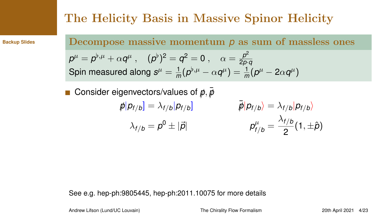## The Helicity Basis in Massive Spinor Helicity

**[Backup Slides](#page-24-0)**

Decompose massive momentum *p* as sum of massless ones

$$
p^{\mu} = p^{\flat,\mu} + \alpha q^{\mu} , \quad (p^{\flat})^2 = q^2 = 0 , \quad \alpha = \frac{p^2}{2p \cdot q}
$$
  
Spin measured along  $s^{\mu} = \frac{1}{m}(p^{\flat,\mu} - \alpha q^{\mu}) = \frac{1}{m}(p^{\mu} - 2\alpha q^{\mu})$ 

Consider eigenvectors/values of  $\vec{p}, \vec{p}$ 

$$
\bar{p}|p_{f/b}] = \lambda_{f/b}|p_{f/b}] \qquad \qquad \bar{p}|p_{f/b}\rangle = \lambda_{f/b}|p_{f/b}\rangle
$$

$$
\lambda_{f/b} = p^0 \pm |\vec{p}| \qquad \qquad p_{f/b}^{\mu} = \frac{\lambda_{f/b}}{2} (1, \pm \hat{p})
$$

See e.g. [hep-ph:9805445,](https://arxiv.org/pdf/hep-ph/9805445.pdf) [hep-ph:2011.10075](https://arxiv.org/pdf/2011.10075.pdf) for more details

Andrew Lifson (Lund/UC Louvain) [The Chirality Flow Formalism](#page-0-0) 20th April 2021 4/23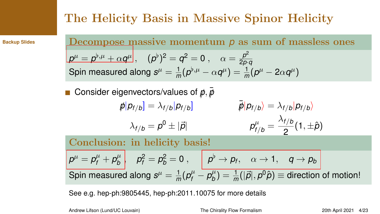# The Helicity Basis in Massive Spinor Helicity

**[Backup Slides](#page-24-0)**

Decompose massive momentum *p* as sum of massless ones  $p^{\mu} = p^{\flat,\mu} + \alpha q^{\mu} \Big|, \quad (p^{\flat})^2 = q^2 = 0 \;, \quad \alpha = \frac{p^2}{2n}.$ 2*p*·*q* Spin measured along  $s^\mu = \frac{1}{n}$  $\frac{1}{m}(p^{\flat,\mu}-\alpha q^{\mu})=\frac{1}{m}(p^{\mu}-2\alpha q^{\mu})$ 

Consider eigenvectors/values of  $\vec{p}, \vec{p}$ 

 $p/p_f/b$ ] =  $\lambda_{f/b}$  $p_{f/b}$  $\bar{p}|p_{f/b}\rangle = \lambda_{f/b}|p_{f/b}\rangle$  $\lambda_{f/b} = \rho^0 \pm |\vec{\rho}|$  *p*  $\int_{f/b}^{\mu}$  =  $\lambda_{f/b}$  $\frac{1}{2}$ <sup>7,0</sup> (1, ± $\hat{p}$ )

Conclusion: in helicity basis!

 $\rho^\mu = \rho_f^\mu + \rho_b^\mu$  $\begin{array}{c|c|c} \mu^{\mu} & \rho_f^2=\rho_b^2=0 \; ,\quad & \rho^{\flat}\rightarrow p_f, \quad \alpha\rightarrow 1, \quad q\rightarrow p_b \end{array}$ Spin measured along  $s^\mu = \frac{1}{n}$  $\frac{1}{m}(p_f^{\mu} - p_b^{\mu})$  $\theta^\mu_b) = \frac{1}{m}(|\vec{\rho}|, \rho^0 \hat{\rho}) \equiv$  direction of motion!

See e.g. [hep-ph:9805445,](https://arxiv.org/pdf/hep-ph/9805445.pdf) [hep-ph:2011.10075](https://arxiv.org/pdf/2011.10075.pdf) for more details

Andrew Lifson (Lund/UC Louvain) [The Chirality Flow Formalism](#page-0-0) 20th April 2021 4/23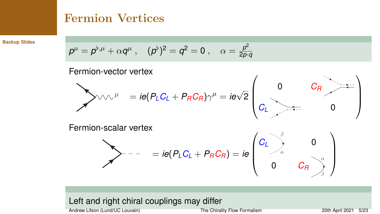## Fermion Vertices

**[Backup Slides](#page-24-0)**

$$
p^{\mu} = p^{\flat,\mu} + \alpha q^{\mu} \ , \quad (p^{\flat})^2 = q^2 = 0 \ , \quad \alpha = \frac{p^2}{2p \cdot q}
$$

Fermion-vector vertex

$$
\sum_{\mu} \sqrt{2\pi i} \cos \theta \cos \theta \cos \theta
$$
\n
$$
= ie(P_L C_L + P_R C_R)\gamma^{\mu} = ie\sqrt{2}\begin{pmatrix} 0 & C_R & \cdots & C_R \\ C_L & \cdots & 0 & C_R \end{pmatrix}
$$

Fermion-scalar vertex

$$
\sum -\qquad = ie(P_L C_L + P_R C_R) = ie \begin{pmatrix} C_L & \searrow & & \\ & \searrow & & \\ & & C_R & \\ & & & C_R \end{pmatrix}
$$

## Left and right chiral couplings may differ

Andrew Lifson (Lund/UC Louvain) [The Chirality Flow Formalism](#page-0-0) 20th April 2021 5/23

 $\lambda$ 

ι δ

0

α β

 $\setminus$ 

 $\Big\}$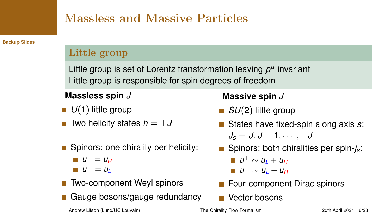## Massless and Massive Particles

**[Backup Slides](#page-24-0)**

### Little group

Little group is set of Lorentz transformation leaving  $p^\mu$  invariant Little group is responsible for spin degrees of freedom

## **Massless spin** *J*

- *U*(1) little group
- Two helicity states  $h = ±J$
- Spinors: one chirality per helicity:
	- $u^+ = u_R$
	- $u^- = u_L$
- Two-component Weyl spinors
- Gauge bosons/gauge redundancy

## **Massive spin** *J*

- *SU*(2) little group
- States have fixed-spin along axis *s*: *J<sup>s</sup>* = *J*, *J* − 1, · · · , −*J*
- Spinors: both chiralities per spin-*j<sub>s</sub>*:
	- $u^+$  ∼  $u_L$  +  $u_R$
	- *u* <sup>−</sup> <sup>∼</sup> *<sup>u</sup><sup>L</sup>* <sup>+</sup> *<sup>u</sup><sup>R</sup>*
- Four-component Dirac spinors
- Vector bosons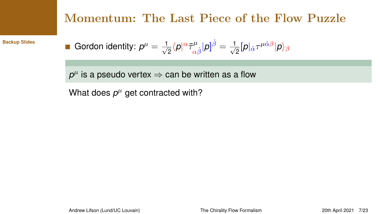## Momentum: The Last Piece of the Flow Puzzle

**[Backup Slides](#page-24-0)**

**1** Gordon identity: 
$$
p^{\mu} = \frac{1}{\sqrt{2}} \langle p|^{\alpha} \bar{\tau}^{\mu}_{\alpha\dot{\beta}} | p]^{\dot{\beta}} = \frac{1}{\sqrt{2}} [p]_{\dot{\alpha}} \tau^{\mu\dot{\alpha}\beta} | p \rangle_{\beta}
$$

 $\rho^{\mu}$  is a pseudo vertex  $\Rightarrow$  can be written as a flow

What does  $p^{\mu}$  get contracted with?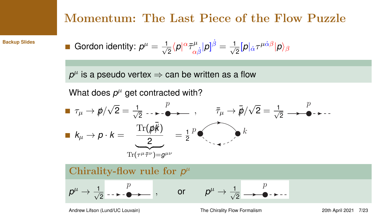## Momentum: The Last Piece of the Flow Puzzle

**[Backup Slides](#page-24-0)**

\n- Gordon identity: 
$$
p^{\mu} = \frac{1}{\sqrt{2}} \langle p|^{\alpha} \bar{\tau}^{\mu}_{\alpha \dot{\beta}} | p ]^{\dot{\beta}} = \frac{1}{\sqrt{2}} [p|_{\dot{\alpha}} \tau^{\mu \dot{\alpha} \beta} | p \rangle_{\beta}
$$
\n

 $\rho^{\mu}$  is a pseudo vertex  $\Rightarrow$  can be written as a flow

What does  $p^{\mu}$  get contracted with?

τ<sup>µ</sup> → *p*// √ 2 = √ 1 2 p , <sup>τ</sup>¯<sup>µ</sup> <sup>→</sup> ¯*p*// √ 2 = √ 1 2 p *k*<sup>µ</sup> → *p* · *k* = Tr(*p*/ ¯*k*/) <sup>2</sup> <sup>|</sup> {z } Tr(τ <sup>µ</sup>τ¯ <sup>ν</sup>)=*g* µν = 1 2 p k



Andrew Lifson (Lund/UC Louvain) [The Chirality Flow Formalism](#page-0-0) 20th April 2021 7/23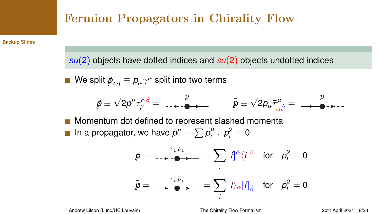## Fermion Propagators in Chirality Flow

**[Backup Slides](#page-24-0)**

*su*(2) objects have dotted indices and *su*(2) objects undotted indices

We split  $\rlap{\,/}p_{4d}^{} \equiv \rho_\mu \gamma^\mu$  split into two terms

$$
\mathbf{p} \equiv \sqrt{2}p^{\mu}\tau_{\mu}^{\dot{\alpha}\beta} = \dots \rightarrow -\mathbf{p} \rightarrow \mathbf{p}
$$
\n
$$
\mathbf{p} \equiv \sqrt{2}p_{\mu}\bar{\tau}_{\alpha\dot{\beta}}^{\mu} = \rightarrow \mathbf{p} \rightarrow \mathbf{p}
$$

Momentum dot defined to represent slashed momenta In a propagator, we have  $p^{\mu} = \sum p_i^{\mu}$  $p_i^{\mu}$ ,  $p_i^2 = 0$ 

$$
\begin{aligned}\n\vec{p} &= \dots & \rightarrow \text{ } \bullet \text{ } \Longrightarrow \text{ } = \sum_{i} |i|^{\dot{\alpha}} \langle i|^{\beta} \quad \text{for} \quad p_i^2 = 0 \\
\vec{p} &= \text{ } \longrightarrow \text{ } \bullet \text{ } \rightarrow \text{ } \text{ } \text{ } = \sum_{i} |i\rangle_{\alpha} |i]_{\dot{\beta}} \quad \text{for} \quad p_i^2 = 0\n\end{aligned}
$$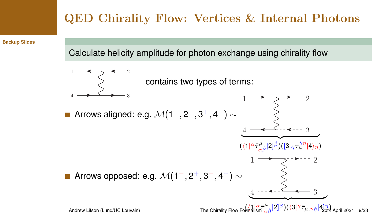# QED Chirality Flow: Vertices & Internal Photons

**[Backup Slides](#page-24-0)**

Calculate helicity amplitude for photon exchange using chirality flow

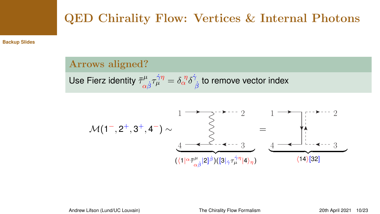# QED Chirality Flow: Vertices & Internal Photons

**[Backup Slides](#page-24-0)**

Arrows aligned?

Use Fierz identity 
$$
\bar\tau^\mu_{\alpha\dot\beta}\tau^{\dot\gamma\eta}_{\mu}= \delta^{\ \eta}_{\alpha}\delta^{\dot\gamma}_{\ \dot\beta}
$$
 to remove vector index

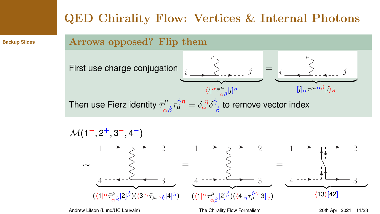## QED Chirality Flow: Vertices & Internal Photons

**[Backup Slides](#page-24-0)**

## Arrows opposed? Flip them





Andrew Lifson (Lund/UC Louvain) [The Chirality Flow Formalism](#page-0-0) 20th April 2021 11/23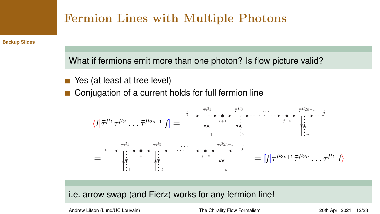

**[Backup Slides](#page-24-0)**

What if fermions emit more than one photon? Is flow picture valid?

- Yes (at least at tree level)
- Conjugation of a current holds for full fermion line



i.e. arrow swap (and Fierz) works for any fermion line!

Andrew Lifson (Lund/UC Louvain) [The Chirality Flow Formalism](#page-0-0) 20th April 2021 12/23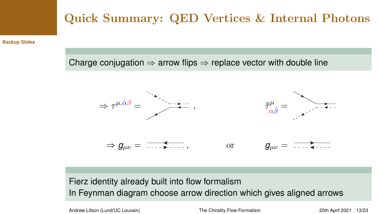# Quick Summary: QED Vertices & Internal Photons

**[Backup Slides](#page-24-0)**

Charge conjugation  $\Rightarrow$  arrow flips  $\Rightarrow$  replace vector with double line



## Fierz identity already built into flow formalism In Feynman diagram choose arrow direction which gives aligned arrows

Andrew Lifson (Lund/UC Louvain) [The Chirality Flow Formalism](#page-0-0) 20th April 2021 13/23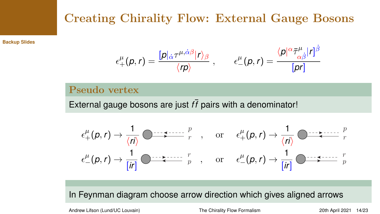## Creating Chirality Flow: External Gauge Bosons

**[Backup Slides](#page-24-0)**

$$
\epsilon^{\mu}_{+}(p,r)=\frac{[p]_{\dot{\alpha}}\tau^{\mu,\dot{\alpha}\beta}|r\rangle_{\beta}}{\langle rp \rangle}\;,\qquad \epsilon^{\mu}_{-}(p,r)=\frac{\langle p|^{\alpha}\bar{\tau}^{\mu}_{\alpha\dot{\beta}}|r]^{\beta}}{[pr]}
$$

### Pseudo vertex

External gauge bosons are just  $f\bar{f}$  pairs with a denominator!

$$
\epsilon^{\mu}_{+}(p,r) \rightarrow \frac{1}{\langle n \rangle} \bullet \qquad \qquad \epsilon^{\mu}_{+}(p,r) \rightarrow \frac{1}{\langle n \rangle} \bullet \qquad \qquad \epsilon^{\mu}_{+}(p,r) \rightarrow \frac{1}{\langle n \rangle} \bullet \qquad \qquad \epsilon^{\mu}_{-}(p,r) \rightarrow \frac{1}{\langle n \rangle} \bullet \qquad \qquad \epsilon^{\mu}_{-}(p,r) \rightarrow \frac{1}{\langle n \rangle} \bullet \qquad \qquad \epsilon^{\mu}_{-}(p,r) \rightarrow \frac{1}{\langle n \rangle} \bullet \qquad \qquad \epsilon^{\mu}_{-}(p,r) \rightarrow \frac{1}{\langle n \rangle} \bullet \qquad \qquad \epsilon^{\mu}_{-}(p,r) \rightarrow \frac{1}{\langle n \rangle} \bullet \qquad \qquad \epsilon^{\mu}_{-}(p,r) \rightarrow \frac{1}{\langle n \rangle} \bullet \qquad \qquad \epsilon^{\mu}_{-}(p,r) \rightarrow \frac{1}{\langle n \rangle} \bullet \qquad \qquad \epsilon^{\mu}_{-}(p,r) \rightarrow \frac{1}{\langle n \rangle} \bullet \qquad \qquad \epsilon^{\mu}_{-}(p,r) \rightarrow \frac{1}{\langle n \rangle} \bullet \qquad \qquad \epsilon^{\mu}_{-}(p,r) \rightarrow \frac{1}{\langle n \rangle} \bullet \qquad \qquad \epsilon^{\mu}_{-}(p,r) \rightarrow \frac{1}{\langle n \rangle} \bullet \qquad \qquad \epsilon^{\mu}_{-}(p,r) \rightarrow \frac{1}{\langle n \rangle} \bullet \qquad \qquad \epsilon^{\mu}_{-}(p,r) \rightarrow \frac{1}{\langle n \rangle} \bullet \qquad \qquad \epsilon^{\mu}_{-}(p,r) \rightarrow \frac{1}{\langle n \rangle} \bullet \qquad \qquad \epsilon^{\mu}_{-}(p,r) \rightarrow \frac{1}{\langle n \rangle} \bullet \qquad \qquad \epsilon^{\mu}_{-}(p,r) \rightarrow \frac{1}{\langle n \rangle} \bullet \qquad \qquad \epsilon^{\mu}_{-}(p,r) \rightarrow \frac{1}{\langle n \rangle} \bullet \qquad \qquad \epsilon^{\mu}_{-}(p,r) \rightarrow \frac{1}{\langle n \rangle} \bullet \qquad \qquad \epsilon^{\mu}_{-}(p,r) \rightarrow \frac{1}{\langle n \rangle} \bullet \qquad \qquad \epsilon^{\mu}_{-}(p,r) \rightarrow \frac{1}{\langle n \rangle} \bullet \qquad \qquad \epsilon^{\mu}_{-}(p,r) \rightarrow \frac{1}{\langle n \rangle}
$$

In Feynman diagram choose arrow direction which gives aligned arrows

Andrew Lifson (Lund/UC Louvain) [The Chirality Flow Formalism](#page-0-0) 20th April 2021 14/23

µ

β˙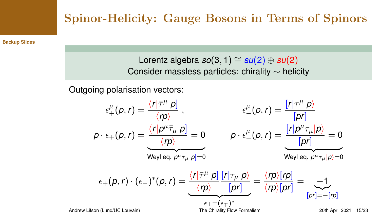## Spinor-Helicity: Gauge Bosons in Terms of Spinors

**[Backup Slides](#page-24-0)**

Lorentz algebra  $so(3, 1) \cong su(2) \oplus su(2)$ Consider massless particles: chirality ∼ helicity

Outgoing polarisation vectors:

$$
\epsilon^{\mu}_{+}(p,r) = \frac{\langle r|\bar{\tau}^{\mu}|p\rangle}{\langle rp \rangle} , \qquad \epsilon^{\mu}_{-}(p,r) = \frac{[r|\tau^{\mu}|p\rangle}{[pr]} \\ p \cdot \epsilon_{+}(p,r) = \frac{\langle r|p^{\mu}\bar{\tau}_{\mu}|p\rangle}{\langle rp \rangle} = 0 \qquad p \cdot \epsilon^{\mu}_{-}(p,r) = \frac{[r|p^{\mu}\tau_{\mu}|p\rangle}{[pr]} = 0 \\ \text{Weyl eq. } p^{\mu}\bar{\tau}_{\mu}|p] = 0 \\ \epsilon_{+}(p,r) \cdot (\epsilon_{-})^{*}(p,r) = \underbrace{\frac{\langle r|\bar{\tau}^{\mu}|p\rangle}{\langle rp \rangle} [r|\tau_{\mu}|p\rangle}_{[pr]} = \frac{\langle rp \rangle [rp]}{\langle rp \rangle [pr]} = \underbrace{-1}_{[pr] = -[rp]} \\ \text{Andrew Lifson (Lund/UC Louvain)} \qquad \text{The Chirality Flow Formalism} \qquad \text{20th April 2021 15/23}
$$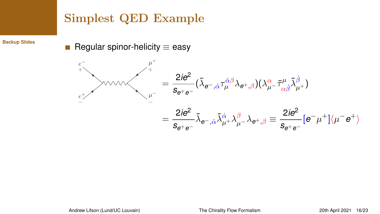## Simplest QED Example

**[Backup Slides](#page-24-0)**

Regular spinor-helicity  $\equiv$  easy

$$
\sum_{e^+ \atop e^+}
$$
\n
$$
\sum_{\mu^-}^{\mu^+} = \frac{2ie^2}{s_{e^+e^-}} (\tilde{\lambda}_{e^-,\dot{\alpha}} \tau_{\mu}^{\dot{\alpha}\beta} \lambda_{e^+,\beta})(\lambda_{\mu^-}^{\alpha} \bar{\tau}_{\alpha\dot{\beta}}^{\mu} \tilde{\lambda}_{\mu^+}^{\dot{\beta}})
$$
\n
$$
= \frac{2ie^2}{s_{e^+e^-}} \tilde{\lambda}_{e^-,\dot{\alpha}} \tilde{\lambda}_{\mu^+}^{\dot{\alpha}} \lambda_{\mu^-}^{\beta} \lambda_{e^+,\beta} \equiv \frac{2ie^2}{s_{e^+e^-}} [e^-\mu^+]\langle \mu^-e^+ \rangle
$$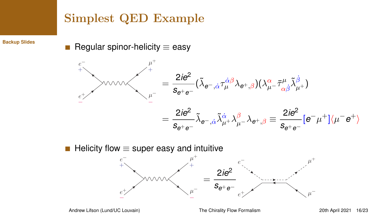## Simplest QED Example

**[Backup Slides](#page-24-0)**

Regular spinor-helicity  $\equiv$  easy П

$$
\sum_{e^+ \atop e^+}
$$
\n
$$
\sum_{\mu^-}^{\mu^+} = \frac{2ie^2}{s_{e^+e^-}} (\tilde{\lambda}_{e^-,\dot{\alpha}} \tau_{\mu}^{\dot{\alpha}\beta} \lambda_{e^+,\beta})(\lambda_{\mu^-}^{\alpha} \bar{\tau}_{\alpha\dot{\beta}}^{\mu} \tilde{\lambda}_{\mu^+}^{\dot{\beta}})
$$
\n
$$
= \frac{2ie^2}{s_{e^+e^-}} \tilde{\lambda}_{e^-,\dot{\alpha}} \tilde{\lambda}_{\mu^+}^{\dot{\alpha}} \lambda_{\mu^-}^{\beta} \lambda_{e^+,\beta} \equiv \frac{2ie^2}{s_{e^+e^-}} [e^- \mu^+]\langle \mu^- e^+ \rangle
$$

■ Helicity flow  $\equiv$  super easy and intuitive

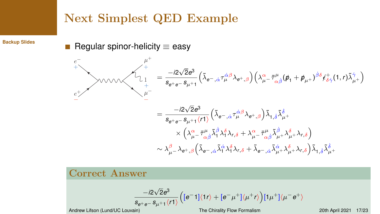## Next Simplest QED Example

**[Backup Slides](#page-24-0)**

Regular spinor-helicity  $\equiv$  easy

$$
\sum_{e^{+}_{+}}^{\mu^{+}_{+}}\sqrt{\sum_{\substack{l_{-}}^{\mu^{-}_{-}}}}\left(\tilde{\lambda}_{e^{-},\dot{\alpha}}\tau_{\mu}^{\dot{\alpha}\beta}\lambda_{e^{+},\beta}\right)\left(\lambda_{\mu^{-}}^{\alpha}\bar{\tau}_{\alpha\dot{\beta}}^{\mu}(\not{p}_{1}+\not{p}_{\mu^{+}})^{\dot{\beta}\delta}\ell_{\delta\dot{\gamma}}^{+}(1,r)\tilde{\lambda}_{\mu^{+}}^{\dot{\gamma}}\right)
$$
\n
$$
=\frac{-i2\sqrt{2}e^{3}}{s_{e^{+}e^{-}}s_{\mu^{+}1}(r1)}\left(\tilde{\lambda}_{e^{-},\dot{\alpha}}\tau_{\mu}^{\dot{\alpha}\beta}\lambda_{e^{+},\beta}\right)\tilde{\lambda}_{1,\dot{\delta}}\tilde{\lambda}_{\mu^{+}}^{\dot{\delta}}
$$
\n
$$
\times\left(\lambda_{\mu^{-}}^{\alpha}\bar{\tau}_{\alpha\dot{\beta}}^{\dot{\alpha}}\tilde{\lambda}_{1}^{\dot{\beta}}\lambda_{\delta}^{\delta}\lambda_{r,\delta} + \lambda_{\mu^{-}}^{\alpha}\bar{\tau}_{\alpha\dot{\beta}}^{\dot{\alpha}}\tilde{\lambda}_{\mu^{+}}^{\dot{\beta}}\lambda_{\mu^{+}}^{\delta}\lambda_{r,\delta}\right)
$$
\n
$$
\sim\lambda_{\mu^{-}}^{\beta}\lambda_{e^{+},\beta}\left(\tilde{\lambda}_{e^{-},\dot{\alpha}}\tilde{\lambda}_{1}^{\dot{\alpha}}\lambda_{1}^{\delta}\lambda_{r,\delta} + \tilde{\lambda}_{e^{-},\dot{\alpha}}\tilde{\lambda}_{\mu^{+}}^{\dot{\alpha}}\lambda_{\mu^{+}}^{\delta}\lambda_{r,\delta}\right)\tilde{\lambda}_{1,\dot{\delta}}\tilde{\lambda}_{\mu^{+}}^{\dot{\delta}}
$$

## Correct Answer

$$
\frac{-i2\sqrt{2}e^3}{s_{e^+e^-}s_{\mu^+1}\langle r1\rangle}\Big([\textrm{e}^-1]\langle 1r\rangle+[\textrm{e}^-\mu^+]\langle \mu^+r\rangle\Big)[1\mu^+]\langle \mu^-e^+\rangle
$$

Andrew Lifson (Lund/UC Louvain) [The Chirality Flow Formalism](#page-0-0) 20th April 2021 17/23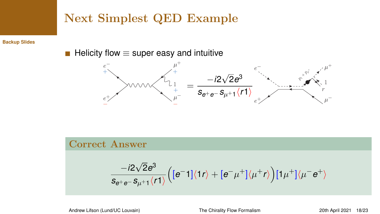## Next Simplest QED Example

**[Backup Slides](#page-24-0)**

■ Helicity flow  $\equiv$  super easy and intuitive



## Correct Answer

$$
\frac{-i2\sqrt{2}e^3}{s_{e^+e^-}s_{\mu^+1}\langle r1\rangle}\Big([\textrm{e}^-1]\langle 1r\rangle+[\textrm{e}^-{\mu^+}]\langle \mu^+r\rangle\Big)[1{\mu^+}]\langle \mu^-e^+\rangle
$$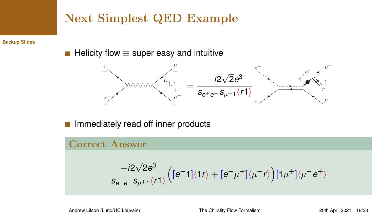## Next Simplest QED Example

**[Backup Slides](#page-24-0)**

■ Helicity flow  $\equiv$  super easy and intuitive



Immediately read off inner products П

## Correct Answer

$$
\frac{-i2\sqrt{2}e^3}{s_{e^+e^-}s_{\mu^+1}\langle r1\rangle}\Big([\varepsilon^-1]\langle 1r\rangle+[\varepsilon^-\mu^+]\langle \mu^+r\rangle\Big)[1\mu^+]\langle \mu^-e^+\rangle
$$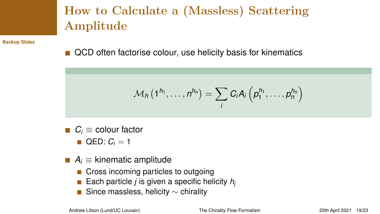# How to Calculate a (Massless) Scattering Amplitude

**[Backup Slides](#page-24-0)**

QCD often factorise colour, use helicity basis for kinematics

$$
\mathcal{M}_h\left(1^{h_1},\ldots,n^{h_n}\right)=\sum_i C_i A_i\left(p_1^{h_1},\ldots,p_n^{h_n}\right)
$$

- $C_i$   $\equiv$  colour factor
	- $QED: C_i = 1$
- $\blacksquare$  *A<sub>i</sub>*  $\equiv$  kinematic amplitude
	- Cross incoming particles to outgoing
	- Each particle *j* is given a specific helicity  $h_i$
	- Since massless, helicity  $\sim$  chirality

Andrew Lifson (Lund/UC Louvain) [The Chirality Flow Formalism](#page-0-0) 20th April 2021 19/23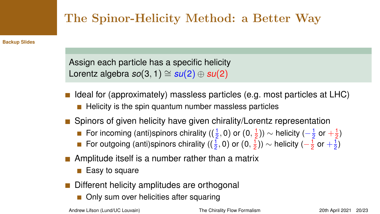# The Spinor-Helicity Method: a Better Way

**[Backup Slides](#page-24-0)**

Assign each particle has a specific helicity Lorentz algebra  $so(3, 1) \cong su(2) \oplus su(2)$ 

- Ideal for (approximately) massless particles (e.g. most particles at LHC)
	- $\blacksquare$  Helicity is the spin quantum number massless particles
- Spinors of given helicity have given chirality/Lorentz representation
	- For incoming (anti)spinors chirality ( $(\frac{1}{2},0)$  or  $(0,\frac{1}{2})) \sim$  helicity  $(-\frac{1}{2}$  or  $+\frac{1}{2})$
	- For outgoing (anti)spinors chirality ( $(\frac{1}{2}, 0)$  or  $(0, \frac{1}{2})$ )  $\sim$  helicity ( $-\frac{1}{2}$  or  $+\frac{1}{2}$ )
- **Amplitude itself is a number rather than a matrix** 
	- $\blacksquare$  Easy to square
- Different helicity amplitudes are orthogonal
	- Only sum over helicities after squaring

Andrew Lifson (Lund/UC Louvain) [The Chirality Flow Formalism](#page-0-0) 20th April 2021 20/23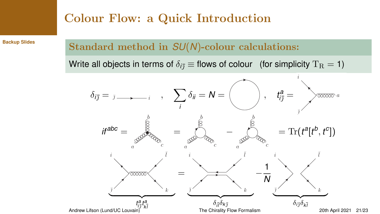## Colour Flow: a Quick Introduction

**[Backup Slides](#page-24-0)**

## Standard method in *SU*(*N*)-colour calculations:

Write all objects in terms of  $\delta_{i\bar{\jmath}} \equiv$  flows of colour (for simplicity T<sub>R</sub> = 1)

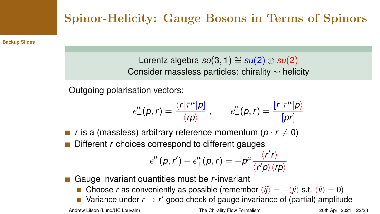# Spinor-Helicity: Gauge Bosons in Terms of Spinors

**[Backup Slides](#page-24-0)**

Lorentz algebra  $so(3, 1) \cong su(2) \oplus su(2)$ Consider massless particles: chirality ∼ helicity

Outgoing polarisation vectors:

$$
\epsilon^{\mu}_{+}(p,r)=\frac{\langle r|\bar{\tau}^{\mu}|p]}{\langle rp\rangle}\;,\qquad \epsilon^{\mu}_{-}(p,r)=\frac{[r|\tau^{\mu}|p\rangle}{[pr]}
$$

*r* is a (massless) arbitrary reference momentum ( $p \cdot r \neq 0$ ) Different *r* choices correspond to different gauges

$$
\epsilon^{\mu}_{+}(p,r') - \epsilon^{\mu}_{+}(p,r) = -p^{\mu} \frac{\langle r'r \rangle}{\langle r'p \rangle \langle rp \rangle}
$$

Gauge invariant quantities must be *r*-invariant

■ Choose *r* as conveniently as possible (remember  $\langle i j \rangle = -\langle i j \rangle$  s.t.  $\langle i j \rangle = 0$ )

Variance under  $r \rightarrow r'$  good check of gauge invariance of (partial) amplitude

Andrew Lifson (Lund/UC Louvain) [The Chirality Flow Formalism](#page-0-0) 20th April 2021 22/23